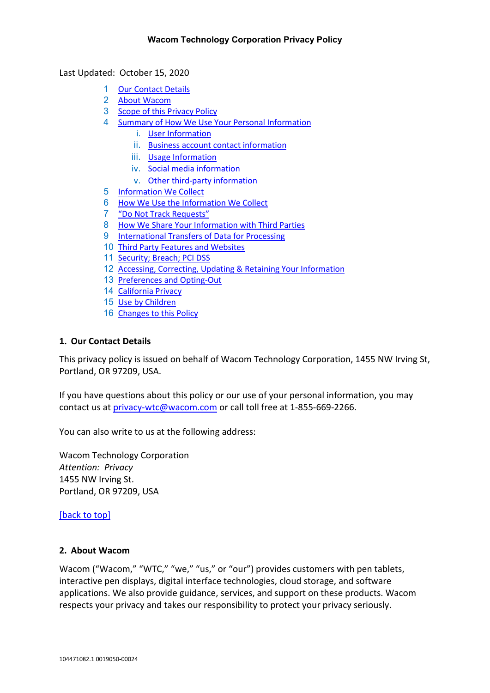<span id="page-0-2"></span>Last Updated: October 15, 2020

- 1 [Our Contact Details](#page-0-0)
- 2 [About Wacom](#page-0-1)
- 3 [Scope of this Privacy Policy](#page-1-0)
- 4 [Summary of How We Use Your Personal Information](#page-2-0)
	- i. [User Information](#page-2-1)
	- ii. [Business account contact information](#page-2-2)
	- iii. [Usage Information](#page-2-3)
	- iv. [Social media information](#page-2-4)
	- v. [Other third-party information](#page-3-0)
- 5 [Information We Collect](#page-3-1)
- 6 [How We Use the Information We Collect](#page-5-0)
- 7 ["Do Not Track Requests"](#page-7-0)
- 8 [How We Share Your Information with Third Parties](#page-7-1)
- 9 [International Transfers of Data for Processing](#page-9-0)
- 10 [Third Party Features and Websites](#page-10-0)
- 11 [Security; Breach; PCI DSS](#page-10-1)
- 12 [Accessing, Correcting, Updating & Retaining Your Information](#page-11-0)
- 13 [Preferences and Opting-Out](#page-12-0)
- 14 [California Privacy](#page-12-1)
- 15 [Use by Children](#page-17-0)
- 16 [Changes to this Policy](#page-18-0)

#### <span id="page-0-0"></span>**1. Our Contact Details**

This privacy policy is issued on behalf of Wacom Technology Corporation, 1455 NW Irving St, Portland, OR 97209, USA.

If you have questions about this policy or our use of your personal information, you may contact us at [privacy-wtc@wacom.com](mailto:privacy-wtc@wacom.com) or call toll free at 1-855-669-2266.

You can also write to us at the following address:

Wacom Technology Corporation *Attention: Privacy* 1455 NW Irving St. Portland, OR 97209, USA

### [\[back to top\]](#page-0-2)

### <span id="page-0-1"></span>**2. About Wacom**

Wacom ("Wacom," "WTC," "we," "us," or "our") provides customers with pen tablets, interactive pen displays, digital interface technologies, cloud storage, and software applications. We also provide guidance, services, and support on these products. Wacom respects your privacy and takes our responsibility to protect your privacy seriously.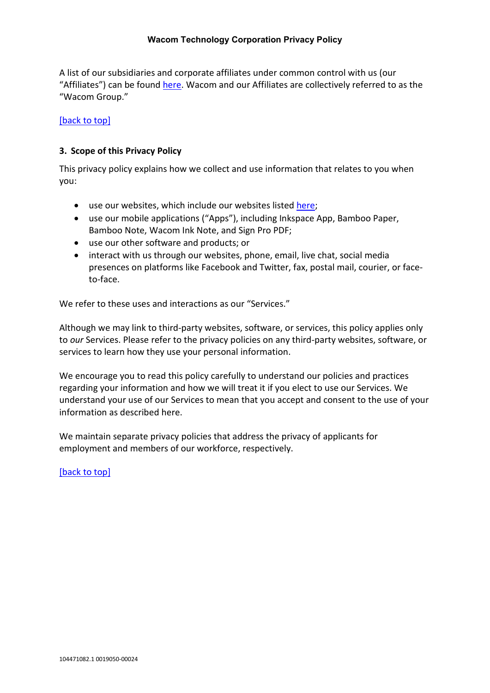A list of our subsidiaries and corporate affiliates under common control with us (our "Affiliates") can be found [here.](https://www.wacom.com/about-wacom) Wacom and our Affiliates are collectively referred to as the "Wacom Group."

### [\[back to top\]](#page-0-2)

### <span id="page-1-0"></span>**3. Scope of this Privacy Policy**

This privacy policy explains how we collect and use information that relates to you when you:

- use our websites, which include our websites listed [here;](https://www.wacom.com/en-us/websites)
- use our mobile applications ("Apps"), including Inkspace App, Bamboo Paper, Bamboo Note, Wacom Ink Note, and Sign Pro PDF;
- use our other software and products; or
- interact with us through our websites, phone, email, live chat, social media presences on platforms like Facebook and Twitter, fax, postal mail, courier, or faceto-face.

We refer to these uses and interactions as our "Services."

Although we may link to third-party websites, software, or services, this policy applies only to *our* Services. Please refer to the privacy policies on any third-party websites, software, or services to learn how they use your personal information.

We encourage you to read this policy carefully to understand our policies and practices regarding your information and how we will treat it if you elect to use our Services. We understand your use of our Services to mean that you accept and consent to the use of your information as described here.

We maintain separate privacy policies that address the privacy of applicants for employment and members of our workforce, respectively.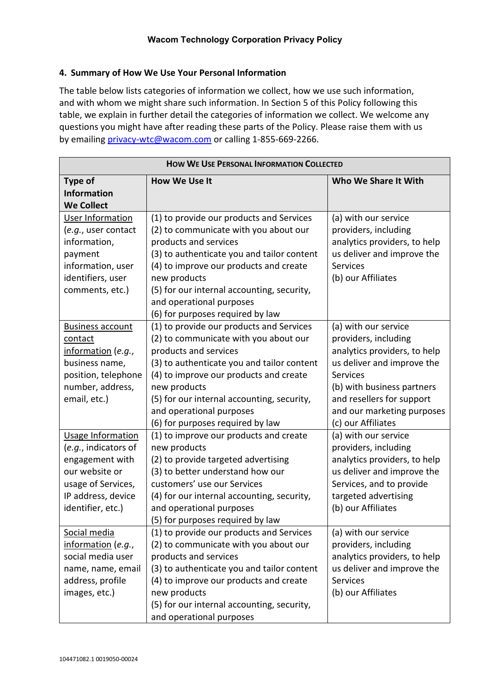# <span id="page-2-0"></span>**4. Summary of How We Use Your Personal Information**

The table below lists categories of information we collect, how we use such information, and with whom we might share such information. In Section 5 of this Policy following this table, we explain in further detail the categories of information we collect. We welcome any questions you might have after reading these parts of the Policy. Please raise them with us by emailin[g privacy-wtc@wacom.com](mailto:privacy-wtc@wacom.com) or calling 1-855-669-2266.

<span id="page-2-4"></span><span id="page-2-3"></span><span id="page-2-2"></span><span id="page-2-1"></span>

| <b>HOW WE USE PERSONAL INFORMATION COLLECTED</b> |                                            |                              |  |
|--------------------------------------------------|--------------------------------------------|------------------------------|--|
| <b>Type of</b>                                   | <b>How We Use It</b>                       | Who We Share It With         |  |
| <b>Information</b>                               |                                            |                              |  |
| <b>We Collect</b>                                |                                            |                              |  |
| User Information                                 | (1) to provide our products and Services   | (a) with our service         |  |
| (e.g., user contact                              | (2) to communicate with you about our      | providers, including         |  |
| information,                                     | products and services                      | analytics providers, to help |  |
| payment                                          | (3) to authenticate you and tailor content | us deliver and improve the   |  |
| information, user                                | (4) to improve our products and create     | <b>Services</b>              |  |
| identifiers, user                                | new products                               | (b) our Affiliates           |  |
| comments, etc.)                                  | (5) for our internal accounting, security, |                              |  |
|                                                  | and operational purposes                   |                              |  |
|                                                  | (6) for purposes required by law           |                              |  |
| <b>Business account</b>                          | (1) to provide our products and Services   | (a) with our service         |  |
| contact                                          | (2) to communicate with you about our      | providers, including         |  |
| information (e.g.,                               | products and services                      | analytics providers, to help |  |
| business name,                                   | (3) to authenticate you and tailor content | us deliver and improve the   |  |
| position, telephone                              | (4) to improve our products and create     | <b>Services</b>              |  |
| number, address,                                 | new products                               | (b) with business partners   |  |
| email, etc.)                                     | (5) for our internal accounting, security, | and resellers for support    |  |
|                                                  | and operational purposes                   | and our marketing purposes   |  |
|                                                  | (6) for purposes required by law           | (c) our Affiliates           |  |
| Usage Information                                | (1) to improve our products and create     | (a) with our service         |  |
| (e.g., indicators of                             | new products                               | providers, including         |  |
| engagement with                                  | (2) to provide targeted advertising        | analytics providers, to help |  |
| our website or                                   | (3) to better understand how our           | us deliver and improve the   |  |
| usage of Services,                               | customers' use our Services                | Services, and to provide     |  |
| IP address, device                               | (4) for our internal accounting, security, | targeted advertising         |  |
| identifier, etc.)                                | and operational purposes                   | (b) our Affiliates           |  |
|                                                  | (5) for purposes required by law           |                              |  |
| Social media                                     | (1) to provide our products and Services   | (a) with our service         |  |
| information (e.g.,                               | (2) to communicate with you about our      | providers, including         |  |
| social media user                                | products and services                      | analytics providers, to help |  |
| name, name, email                                | (3) to authenticate you and tailor content | us deliver and improve the   |  |
| address, profile                                 | (4) to improve our products and create     | <b>Services</b>              |  |
| images, etc.)                                    | new products                               | (b) our Affiliates           |  |
|                                                  | (5) for our internal accounting, security, |                              |  |
|                                                  | and operational purposes                   |                              |  |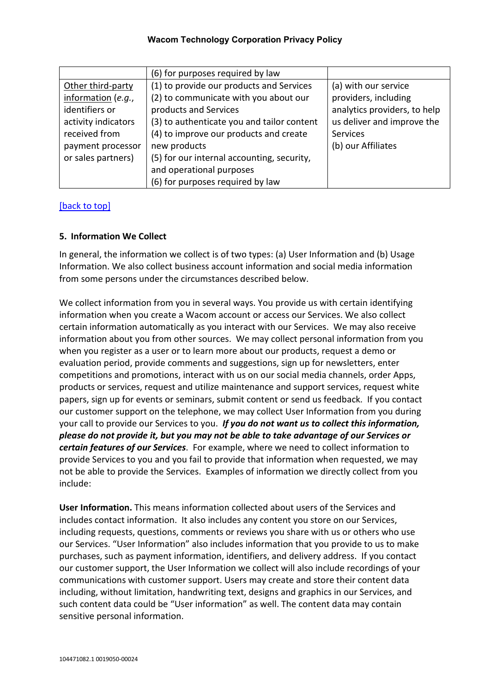<span id="page-3-0"></span>

|                     | (6) for purposes required by law           |                              |
|---------------------|--------------------------------------------|------------------------------|
| Other third-party   | (1) to provide our products and Services   | (a) with our service         |
| information (e.g.,  | (2) to communicate with you about our      | providers, including         |
| identifiers or      | products and Services                      | analytics providers, to help |
| activity indicators | (3) to authenticate you and tailor content | us deliver and improve the   |
| received from       | (4) to improve our products and create     | <b>Services</b>              |
| payment processor   | new products                               | (b) our Affiliates           |
| or sales partners)  | (5) for our internal accounting, security, |                              |
|                     | and operational purposes                   |                              |
|                     | (6) for purposes required by law           |                              |

### [\[back to top\]](#page-0-2)

### <span id="page-3-1"></span>**5. Information We Collect**

In general, the information we collect is of two types: (a) User Information and (b) Usage Information. We also collect business account information and social media information from some persons under the circumstances described below.

We collect information from you in several ways. You provide us with certain identifying information when you create a Wacom account or access our Services. We also collect certain information automatically as you interact with our Services. We may also receive information about you from other sources. We may collect personal information from you when you register as a user or to learn more about our products, request a demo or evaluation period, provide comments and suggestions, sign up for newsletters, enter competitions and promotions, interact with us on our social media channels, order Apps, products or services, request and utilize maintenance and support services, request white papers, sign up for events or seminars, submit content or send us feedback. If you contact our customer support on the telephone, we may collect User Information from you during your call to provide our Services to you. *If you do not want us to collect this information, please do not provide it, but you may not be able to take advantage of our Services or certain features of our Services*. For example, where we need to collect information to provide Services to you and you fail to provide that information when requested, we may not be able to provide the Services. Examples of information we directly collect from you include:

**User Information.** This means information collected about users of the Services and includes contact information. It also includes any content you store on our Services, including requests, questions, comments or reviews you share with us or others who use our Services. "User Information" also includes information that you provide to us to make purchases, such as payment information, identifiers, and delivery address. If you contact our customer support, the User Information we collect will also include recordings of your communications with customer support. Users may create and store their content data including, without limitation, handwriting text, designs and graphics in our Services, and such content data could be "User information" as well. The content data may contain sensitive personal information.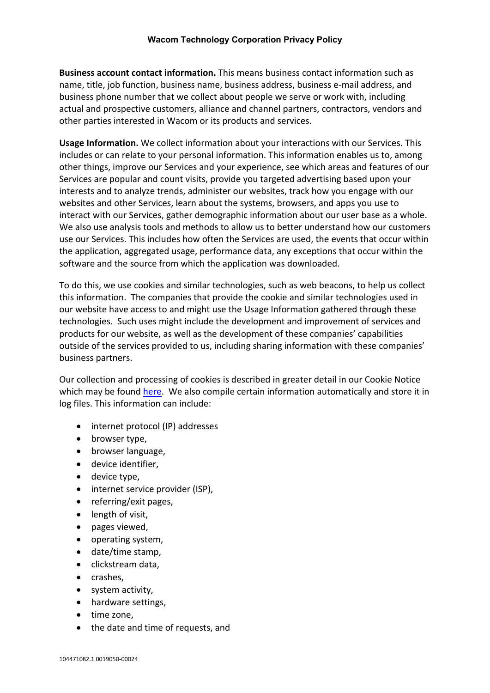**Business account contact information.** This means business contact information such as name, title, job function, business name, business address, business e-mail address, and business phone number that we collect about people we serve or work with, including actual and prospective customers, alliance and channel partners, contractors, vendors and other parties interested in Wacom or its products and services.

**Usage Information.** We collect information about your interactions with our Services. This includes or can relate to your personal information. This information enables us to, among other things, improve our Services and your experience, see which areas and features of our Services are popular and count visits, provide you targeted advertising based upon your interests and to analyze trends, administer our websites, track how you engage with our websites and other Services, learn about the systems, browsers, and apps you use to interact with our Services, gather demographic information about our user base as a whole. We also use analysis tools and methods to allow us to better understand how our customers use our Services. This includes how often the Services are used, the events that occur within the application, aggregated usage, performance data, any exceptions that occur within the software and the source from which the application was downloaded.

To do this, we use cookies and similar technologies, such as web beacons, to help us collect this information. The companies that provide the cookie and similar technologies used in our website have access to and might use the Usage Information gathered through these technologies. Such uses might include the development and improvement of services and products for our website, as well as the development of these companies' capabilities outside of the services provided to us, including sharing information with these companies' business partners.

Our collection and processing of cookies is described in greater detail in our Cookie Notice which may be found [here.](https://www.wacom.com/en-us/cookie-notice) We also compile certain information automatically and store it in log files. This information can include:

- internet protocol (IP) addresses
- browser type,
- browser language,
- device identifier,
- device type,
- internet service provider (ISP),
- referring/exit pages,
- length of visit,
- pages viewed,
- operating system,
- date/time stamp,
- clickstream data,
- crashes,
- system activity,
- hardware settings,
- time zone,
- the date and time of requests, and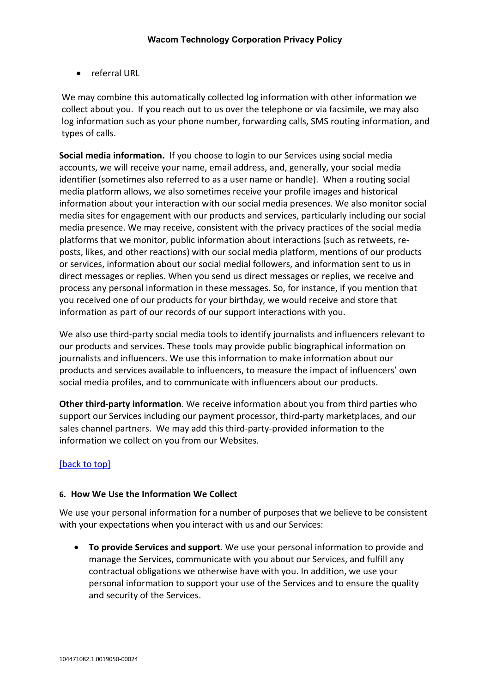• referral URL

We may combine this automatically collected log information with other information we collect about you. If you reach out to us over the telephone or via facsimile, we may also log information such as your phone number, forwarding calls, SMS routing information, and types of calls.

**Social media information.** If you choose to login to our Services using social media accounts, we will receive your name, email address, and, generally, your social media identifier (sometimes also referred to as a user name or handle). When a routing social media platform allows, we also sometimes receive your profile images and historical information about your interaction with our social media presences. We also monitor social media sites for engagement with our products and services, particularly including our social media presence. We may receive, consistent with the privacy practices of the social media platforms that we monitor, public information about interactions (such as retweets, reposts, likes, and other reactions) with our social media platform, mentions of our products or services, information about our social medial followers, and information sent to us in direct messages or replies. When you send us direct messages or replies, we receive and process any personal information in these messages. So, for instance, if you mention that you received one of our products for your birthday, we would receive and store that information as part of our records of our support interactions with you.

We also use third-party social media tools to identify journalists and influencers relevant to our products and services. These tools may provide public biographical information on journalists and influencers. We use this information to make information about our products and services available to influencers, to measure the impact of influencers' own social media profiles, and to communicate with influencers about our products.

**Other third-party information**. We receive information about you from third parties who support our Services including our payment processor, third-party marketplaces, and our sales channel partners. We may add this third-party-provided information to the information we collect on you from our Websites.

## [\[back to top\]](#page-0-2)

### <span id="page-5-0"></span>**6. How We Use the Information We Collect**

We use your personal information for a number of purposes that we believe to be consistent with your expectations when you interact with us and our Services:

• **To provide Services and support***.* We use your personal information to provide and manage the Services, communicate with you about our Services, and fulfill any contractual obligations we otherwise have with you. In addition, we use your personal information to support your use of the Services and to ensure the quality and security of the Services.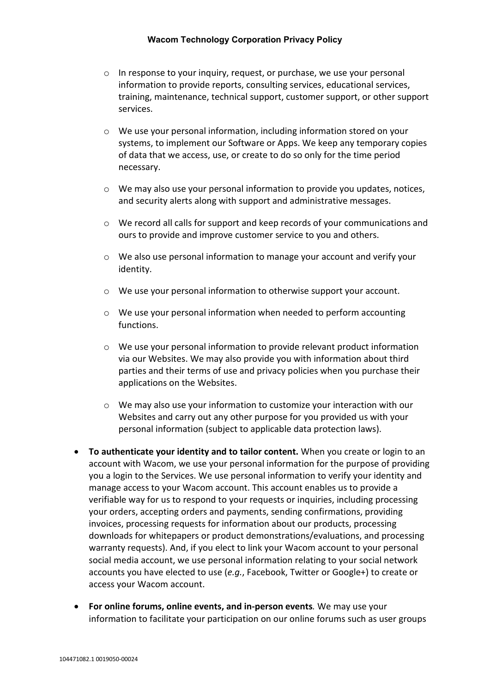- o In response to your inquiry, request, or purchase, we use your personal information to provide reports, consulting services, educational services, training, maintenance, technical support, customer support, or other support services.
- o We use your personal information, including information stored on your systems, to implement our Software or Apps. We keep any temporary copies of data that we access, use, or create to do so only for the time period necessary.
- $\circ$  We may also use your personal information to provide you updates, notices, and security alerts along with support and administrative messages.
- o We record all calls for support and keep records of your communications and ours to provide and improve customer service to you and others.
- $\circ$  We also use personal information to manage your account and verify your identity.
- o We use your personal information to otherwise support your account.
- o We use your personal information when needed to perform accounting functions.
- o We use your personal information to provide relevant product information via our Websites. We may also provide you with information about third parties and their terms of use and privacy policies when you purchase their applications on the Websites.
- o We may also use your information to customize your interaction with our Websites and carry out any other purpose for you provided us with your personal information (subject to applicable data protection laws).
- **To authenticate your identity and to tailor content.** When you create or login to an account with Wacom, we use your personal information for the purpose of providing you a login to the Services. We use personal information to verify your identity and manage access to your Wacom account. This account enables us to provide a verifiable way for us to respond to your requests or inquiries, including processing your orders, accepting orders and payments, sending confirmations, providing invoices, processing requests for information about our products, processing downloads for whitepapers or product demonstrations/evaluations, and processing warranty requests). And, if you elect to link your Wacom account to your personal social media account, we use personal information relating to your social network accounts you have elected to use (*e.g.*, Facebook, Twitter or Google+) to create or access your Wacom account.
- **For online forums, online events, and in-person events***.* We may use your information to facilitate your participation on our online forums such as user groups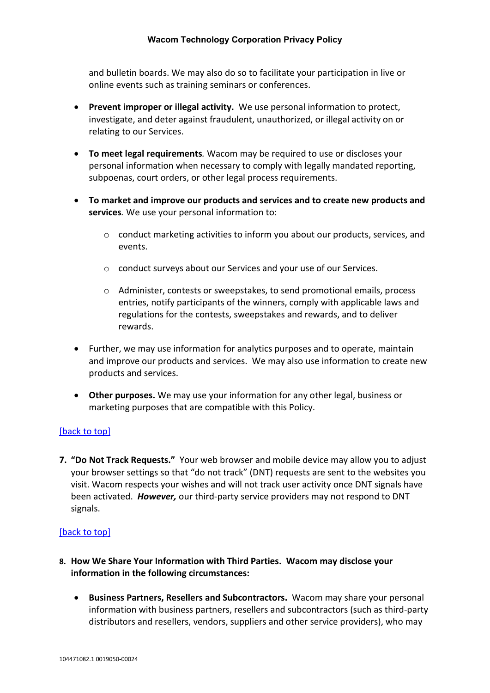and bulletin boards. We may also do so to facilitate your participation in live or online events such as training seminars or conferences.

- **Prevent improper or illegal activity.** We use personal information to protect, investigate, and deter against fraudulent, unauthorized, or illegal activity on or relating to our Services.
- **To meet legal requirements***.* Wacom may be required to use or discloses your personal information when necessary to comply with legally mandated reporting, subpoenas, court orders, or other legal process requirements.
- **To market and improve our products and services and to create new products and services***.* We use your personal information to:
	- o conduct marketing activities to inform you about our products, services, and events.
	- o conduct surveys about our Services and your use of our Services.
	- o Administer, contests or sweepstakes, to send promotional emails, process entries, notify participants of the winners, comply with applicable laws and regulations for the contests, sweepstakes and rewards, and to deliver rewards.
- Further, we may use information for analytics purposes and to operate, maintain and improve our products and services. We may also use information to create new products and services.
- **Other purposes.** We may use your information for any other legal, business or marketing purposes that are compatible with this Policy.

## [\[back to top\]](#page-0-2)

<span id="page-7-0"></span>**7. "Do Not Track Requests."** Your web browser and mobile device may allow you to adjust your browser settings so that "do not track" (DNT) requests are sent to the websites you visit. Wacom respects your wishes and will not track user activity once DNT signals have been activated. *However,* our third-party service providers may not respond to DNT signals.

- <span id="page-7-1"></span>**8. How We Share Your Information with Third Parties. Wacom may disclose your information in the following circumstances:**
	- **Business Partners, Resellers and Subcontractors.** Wacom may share your personal information with business partners, resellers and subcontractors (such as third-party distributors and resellers, vendors, suppliers and other service providers), who may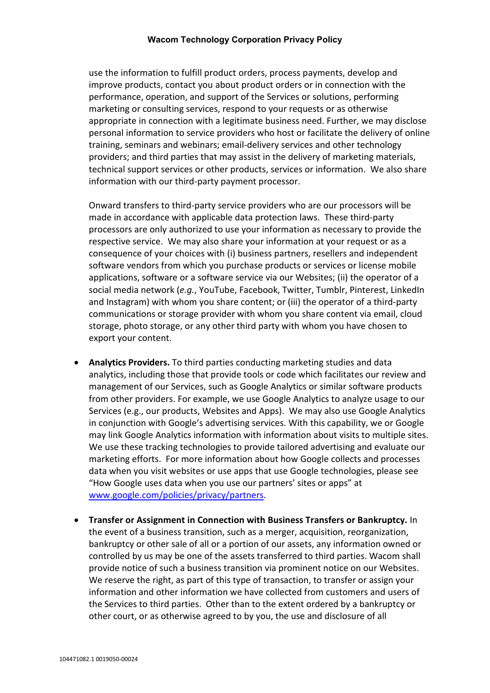use the information to fulfill product orders, process payments, develop and improve products, contact you about product orders or in connection with the performance, operation, and support of the Services or solutions, performing marketing or consulting services, respond to your requests or as otherwise appropriate in connection with a legitimate business need. Further, we may disclose personal information to service providers who host or facilitate the delivery of online training, seminars and webinars; email-delivery services and other technology providers; and third parties that may assist in the delivery of marketing materials, technical support services or other products, services or information. We also share information with our third-party payment processor.

Onward transfers to third-party service providers who are our processors will be made in accordance with applicable data protection laws. These third-party processors are only authorized to use your information as necessary to provide the respective service. We may also share your information at your request or as a consequence of your choices with (i) business partners, resellers and independent software vendors from which you purchase products or services or license mobile applications, software or a software service via our Websites; (ii) the operator of a social media network (*e.g.*, YouTube, Facebook, Twitter, Tumblr, Pinterest, LinkedIn and Instagram) with whom you share content; or (iii) the operator of a third-party communications or storage provider with whom you share content via email, cloud storage, photo storage, or any other third party with whom you have chosen to export your content.

- **Analytics Providers.** To third parties conducting marketing studies and data analytics, including those that provide tools or code which facilitates our review and management of our Services, such as Google Analytics or similar software products from other providers. For example, we use Google Analytics to analyze usage to our Services (e.g., our products, Websites and Apps). We may also use Google Analytics in conjunction with Google's advertising services. With this capability, we or Google may link Google Analytics information with information about visits to multiple sites. We use these tracking technologies to provide tailored advertising and evaluate our marketing efforts. For more information about how Google collects and processes data when you visit websites or use apps that use Google technologies, please see "How Google uses data when you use our partners' sites or apps" at [www.google.com/policies/privacy/partners.](http://www.google.com/policies/privacy/partners)
- **Transfer or Assignment in Connection with Business Transfers or Bankruptcy.** In the event of a business transition, such as a merger, acquisition, reorganization, bankruptcy or other sale of all or a portion of our assets, any information owned or controlled by us may be one of the assets transferred to third parties. Wacom shall provide notice of such a business transition via prominent notice on our Websites. We reserve the right, as part of this type of transaction, to transfer or assign your information and other information we have collected from customers and users of the Services to third parties. Other than to the extent ordered by a bankruptcy or other court, or as otherwise agreed to by you, the use and disclosure of all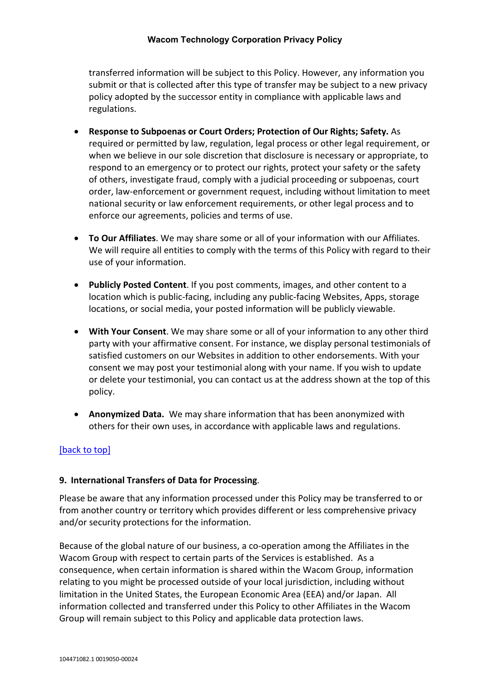### **Wacom Technology Corporation Privacy Policy**

transferred information will be subject to this Policy. However, any information you submit or that is collected after this type of transfer may be subject to a new privacy policy adopted by the successor entity in compliance with applicable laws and regulations.

- **Response to Subpoenas or Court Orders; Protection of Our Rights; Safety.** As required or permitted by law, regulation, legal process or other legal requirement, or when we believe in our sole discretion that disclosure is necessary or appropriate, to respond to an emergency or to protect our rights, protect your safety or the safety of others, investigate fraud, comply with a judicial proceeding or subpoenas, court order, law-enforcement or government request, including without limitation to meet national security or law enforcement requirements, or other legal process and to enforce our agreements, policies and terms of use.
- **To Our Affiliates**. We may share some or all of your information with our Affiliates. We will require all entities to comply with the terms of this Policy with regard to their use of your information.
- **Publicly Posted Content**. If you post comments, images, and other content to a location which is public-facing, including any public-facing Websites, Apps, storage locations, or social media, your posted information will be publicly viewable.
- **With Your Consent**. We may share some or all of your information to any other third party with your affirmative consent. For instance, we display personal testimonials of satisfied customers on our Websites in addition to other endorsements. With your consent we may post your testimonial along with your name. If you wish to update or delete your testimonial, you can contact us at the address shown at the top of this policy.
- **Anonymized Data.** We may share information that has been anonymized with others for their own uses, in accordance with applicable laws and regulations.

## [\[back to top\]](#page-0-2)

### <span id="page-9-0"></span>**9. International Transfers of Data for Processing**.

Please be aware that any information processed under this Policy may be transferred to or from another country or territory which provides different or less comprehensive privacy and/or security protections for the information.

Because of the global nature of our business, a co-operation among the Affiliates in the Wacom Group with respect to certain parts of the Services is established. As a consequence, when certain information is shared within the Wacom Group, information relating to you might be processed outside of your local jurisdiction, including without limitation in the United States, the European Economic Area (EEA) and/or Japan. All information collected and transferred under this Policy to other Affiliates in the Wacom Group will remain subject to this Policy and applicable data protection laws.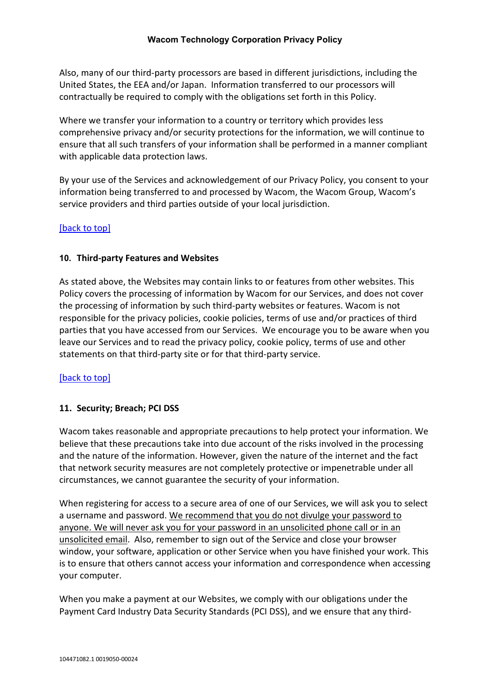### **Wacom Technology Corporation Privacy Policy**

Also, many of our third-party processors are based in different jurisdictions, including the United States, the EEA and/or Japan. Information transferred to our processors will contractually be required to comply with the obligations set forth in this Policy.

Where we transfer your information to a country or territory which provides less comprehensive privacy and/or security protections for the information, we will continue to ensure that all such transfers of your information shall be performed in a manner compliant with applicable data protection laws.

By your use of the Services and acknowledgement of our Privacy Policy, you consent to your information being transferred to and processed by Wacom, the Wacom Group, Wacom's service providers and third parties outside of your local jurisdiction.

## [\[back to top\]](#page-0-2)

## <span id="page-10-0"></span>**10. Third-party Features and Websites**

As stated above, the Websites may contain links to or features from other websites. This Policy covers the processing of information by Wacom for our Services, and does not cover the processing of information by such third-party websites or features. Wacom is not responsible for the privacy policies, cookie policies, terms of use and/or practices of third parties that you have accessed from our Services. We encourage you to be aware when you leave our Services and to read the privacy policy, cookie policy, terms of use and other statements on that third-party site or for that third-party service.

## [\[back to top\]](#page-0-2)

### <span id="page-10-1"></span>**11. Security; Breach; PCI DSS**

Wacom takes reasonable and appropriate precautions to help protect your information. We believe that these precautions take into due account of the risks involved in the processing and the nature of the information. However, given the nature of the internet and the fact that network security measures are not completely protective or impenetrable under all circumstances, we cannot guarantee the security of your information.

When registering for access to a secure area of one of our Services, we will ask you to select a username and password. We recommend that you do not divulge your password to anyone. We will never ask you for your password in an unsolicited phone call or in an unsolicited email. Also, remember to sign out of the Service and close your browser window, your software, application or other Service when you have finished your work. This is to ensure that others cannot access your information and correspondence when accessing your computer.

When you make a payment at our Websites, we comply with our obligations under the Payment Card Industry Data Security Standards (PCI DSS), and we ensure that any third-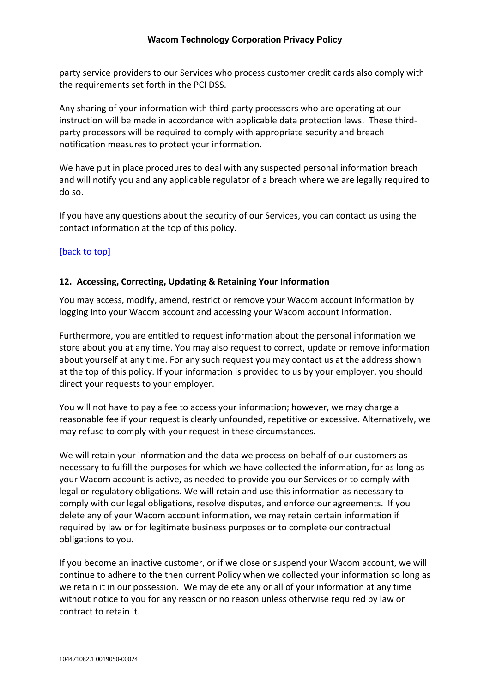party service providers to our Services who process customer credit cards also comply with the requirements set forth in the PCI DSS.

Any sharing of your information with third-party processors who are operating at our instruction will be made in accordance with applicable data protection laws. These thirdparty processors will be required to comply with appropriate security and breach notification measures to protect your information.

We have put in place procedures to deal with any suspected personal information breach and will notify you and any applicable regulator of a breach where we are legally required to do so.

If you have any questions about the security of our Services, you can contact us using the contact information at the top of this policy.

## [\[back to top\]](#page-0-2)

## <span id="page-11-0"></span>**12. Accessing, Correcting, Updating & Retaining Your Information**

You may access, modify, amend, restrict or remove your Wacom account information by logging into your Wacom account and accessing your Wacom account information.

Furthermore, you are entitled to request information about the personal information we store about you at any time. You may also request to correct, update or remove information about yourself at any time. For any such request you may contact us at the address shown at the top of this policy. If your information is provided to us by your employer, you should direct your requests to your employer.

You will not have to pay a fee to access your information; however, we may charge a reasonable fee if your request is clearly unfounded, repetitive or excessive. Alternatively, we may refuse to comply with your request in these circumstances.

We will retain your information and the data we process on behalf of our customers as necessary to fulfill the purposes for which we have collected the information, for as long as your Wacom account is active, as needed to provide you our Services or to comply with legal or regulatory obligations. We will retain and use this information as necessary to comply with our legal obligations, resolve disputes, and enforce our agreements. If you delete any of your Wacom account information, we may retain certain information if required by law or for legitimate business purposes or to complete our contractual obligations to you.

If you become an inactive customer, or if we close or suspend your Wacom account, we will continue to adhere to the then current Policy when we collected your information so long as we retain it in our possession. We may delete any or all of your information at any time without notice to you for any reason or no reason unless otherwise required by law or contract to retain it.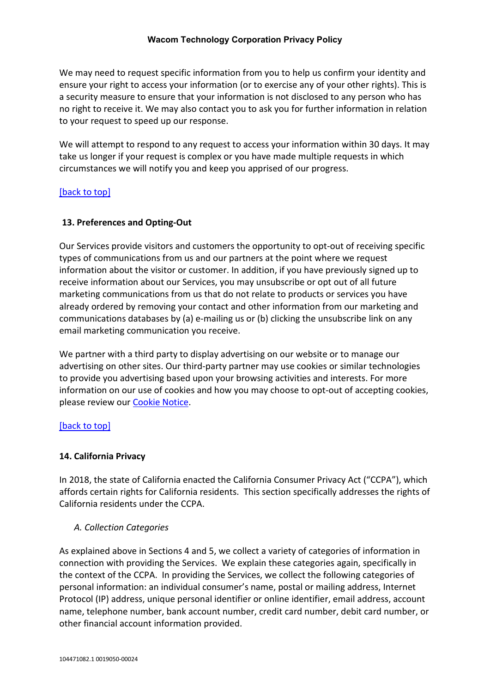### **Wacom Technology Corporation Privacy Policy**

We may need to request specific information from you to help us confirm your identity and ensure your right to access your information (or to exercise any of your other rights). This is a security measure to ensure that your information is not disclosed to any person who has no right to receive it. We may also contact you to ask you for further information in relation to your request to speed up our response.

We will attempt to respond to any request to access your information within 30 days. It may take us longer if your request is complex or you have made multiple requests in which circumstances we will notify you and keep you apprised of our progress.

## [\[back to top\]](#page-0-2)

## <span id="page-12-0"></span>**13. Preferences and Opting-Out**

Our Services provide visitors and customers the opportunity to opt-out of receiving specific types of communications from us and our partners at the point where we request information about the visitor or customer. In addition, if you have previously signed up to receive information about our Services, you may unsubscribe or opt out of all future marketing communications from us that do not relate to products or services you have already ordered by removing your contact and other information from our marketing and communications databases by (a) e-mailing us or (b) clicking the unsubscribe link on any email marketing communication you receive.

We partner with a third party to display advertising on our website or to manage our advertising on other sites. Our third-party partner may use cookies or similar technologies to provide you advertising based upon your browsing activities and interests. For more information on our use of cookies and how you may choose to opt-out of accepting cookies, please review our [Cookie Notice.](https://www.wacom.com/en-us/cookie-notice)

### [\[back to top\]](#page-0-2)

### <span id="page-12-1"></span>**14. California Privacy**

In 2018, the state of California enacted the California Consumer Privacy Act ("CCPA"), which affords certain rights for California residents. This section specifically addresses the rights of California residents under the CCPA.

### *A. Collection Categories*

As explained above in Sections 4 and 5, we collect a variety of categories of information in connection with providing the Services. We explain these categories again, specifically in the context of the CCPA. In providing the Services, we collect the following categories of personal information: an individual consumer's name, postal or mailing address, Internet Protocol (IP) address, unique personal identifier or online identifier, email address, account name, telephone number, bank account number, credit card number, debit card number, or other financial account information provided.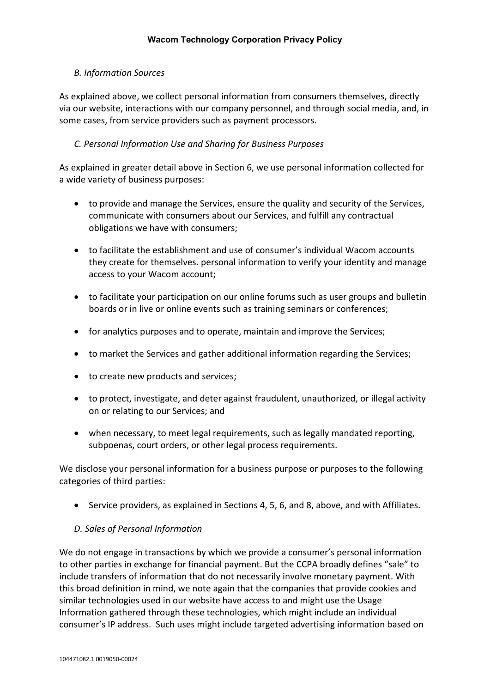## *B. Information Sources*

As explained above, we collect personal information from consumers themselves, directly via our website, interactions with our company personnel, and through social media, and, in some cases, from service providers such as payment processors.

## *C. Personal Information Use and Sharing for Business Purposes*

As explained in greater detail above in Section 6, we use personal information collected for a wide variety of business purposes:

- to provide and manage the Services, ensure the quality and security of the Services, communicate with consumers about our Services, and fulfill any contractual obligations we have with consumers;
- to facilitate the establishment and use of consumer's individual Wacom accounts they create for themselves. personal information to verify your identity and manage access to your Wacom account;
- to facilitate your participation on our online forums such as user groups and bulletin boards or in live or online events such as training seminars or conferences;
- for analytics purposes and to operate, maintain and improve the Services;
- to market the Services and gather additional information regarding the Services;
- to create new products and services;
- to protect, investigate, and deter against fraudulent, unauthorized, or illegal activity on or relating to our Services; and
- when necessary, to meet legal requirements, such as legally mandated reporting, subpoenas, court orders, or other legal process requirements.

We disclose your personal information for a business purpose or purposes to the following categories of third parties:

• Service providers, as explained in Sections 4, 5, 6, and 8, above, and with Affiliates.

## *D. Sales of Personal Information*

We do not engage in transactions by which we provide a consumer's personal information to other parties in exchange for financial payment. But the CCPA broadly defines "sale" to include transfers of information that do not necessarily involve monetary payment. With this broad definition in mind, we note again that the companies that provide cookies and similar technologies used in our website have access to and might use the Usage Information gathered through these technologies, which might include an individual consumer's IP address. Such uses might include targeted advertising information based on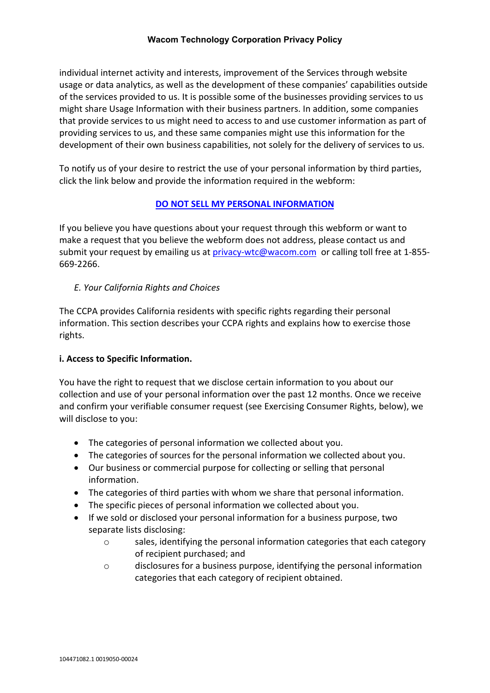individual internet activity and interests, improvement of the Services through website usage or data analytics, as well as the development of these companies' capabilities outside of the services provided to us. It is possible some of the businesses providing services to us might share Usage Information with their business partners. In addition, some companies that provide services to us might need to access to and use customer information as part of providing services to us, and these same companies might use this information for the development of their own business capabilities, not solely for the delivery of services to us.

To notify us of your desire to restrict the use of your personal information by third parties, click the link below and provide the information required in the webform:

## **[DO NOT SELL MY PERSONAL INFORMATION](https://www.wacom.com/en-us/privacy/ccpa/do-not-sell)**

If you believe you have questions about your request through this webform or want to make a request that you believe the webform does not address, please contact us and submit your request by emailing us at [privacy-wtc@wacom.com](mailto:privacy-wtc@wacom.com) or calling toll free at 1-855-669-2266.

## *E. Your California Rights and Choices*

The CCPA provides California residents with specific rights regarding their personal information. This section describes your CCPA rights and explains how to exercise those rights.

## **i. Access to Specific Information.**

You have the right to request that we disclose certain information to you about our collection and use of your personal information over the past 12 months. Once we receive and confirm your verifiable consumer request (see Exercising Consumer Rights, below), we will disclose to you:

- The categories of personal information we collected about you.
- The categories of sources for the personal information we collected about you.
- Our business or commercial purpose for collecting or selling that personal information.
- The categories of third parties with whom we share that personal information.
- The specific pieces of personal information we collected about you.
- If we sold or disclosed your personal information for a business purpose, two separate lists disclosing:
	- o sales, identifying the personal information categories that each category of recipient purchased; and
	- o disclosures for a business purpose, identifying the personal information categories that each category of recipient obtained.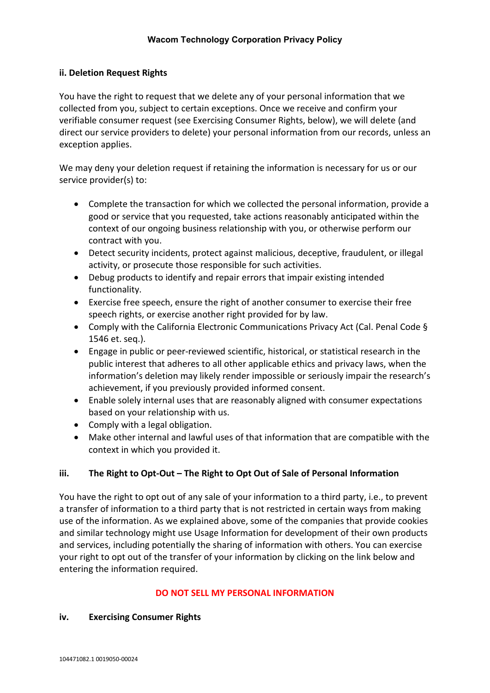## **ii. Deletion Request Rights**

You have the right to request that we delete any of your personal information that we collected from you, subject to certain exceptions. Once we receive and confirm your verifiable consumer request (see Exercising Consumer Rights, below), we will delete (and direct our service providers to delete) your personal information from our records, unless an exception applies.

We may deny your deletion request if retaining the information is necessary for us or our service provider(s) to:

- Complete the transaction for which we collected the personal information, provide a good or service that you requested, take actions reasonably anticipated within the context of our ongoing business relationship with you, or otherwise perform our contract with you.
- Detect security incidents, protect against malicious, deceptive, fraudulent, or illegal activity, or prosecute those responsible for such activities.
- Debug products to identify and repair errors that impair existing intended functionality.
- Exercise free speech, ensure the right of another consumer to exercise their free speech rights, or exercise another right provided for by law.
- Comply with the California Electronic Communications Privacy Act (Cal. Penal Code § 1546 et. seq.).
- Engage in public or peer-reviewed scientific, historical, or statistical research in the public interest that adheres to all other applicable ethics and privacy laws, when the information's deletion may likely render impossible or seriously impair the research's achievement, if you previously provided informed consent.
- Enable solely internal uses that are reasonably aligned with consumer expectations based on your relationship with us.
- Comply with a legal obligation.
- Make other internal and lawful uses of that information that are compatible with the context in which you provided it.

## **iii. The Right to Opt-Out – The Right to Opt Out of Sale of Personal Information**

You have the right to opt out of any sale of your information to a third party, i.e., to prevent a transfer of information to a third party that is not restricted in certain ways from making use of the information. As we explained above, some of the companies that provide cookies and similar technology might use Usage Information for development of their own products and services, including potentially the sharing of information with others. You can exercise your right to opt out of the transfer of your information by clicking on the link below and entering the information required.

### **DO NOT SELL MY PERSONAL INFORMATION**

### **iv. Exercising Consumer Rights**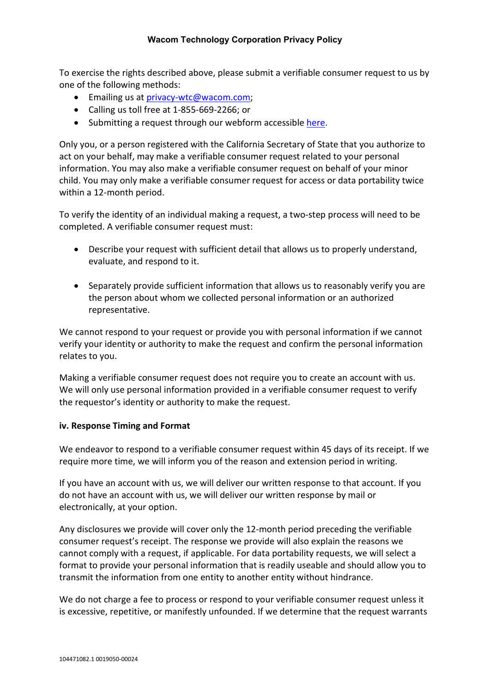To exercise the rights described above, please submit a verifiable consumer request to us by one of the following methods:

- Emailing us at [privacy-wtc@wacom.com;](mailto:privacy-wtc@wacom.com)
- Calling us toll free at 1-855-669-2266; or
- Submitting a request through our webform accessible [here.](https://www.wacom.com/en-us/privacy/ccpa)

Only you, or a person registered with the California Secretary of State that you authorize to act on your behalf, may make a verifiable consumer request related to your personal information. You may also make a verifiable consumer request on behalf of your minor child. You may only make a verifiable consumer request for access or data portability twice within a 12-month period.

To verify the identity of an individual making a request, a two-step process will need to be completed. A verifiable consumer request must:

- Describe your request with sufficient detail that allows us to properly understand, evaluate, and respond to it.
- Separately provide sufficient information that allows us to reasonably verify you are the person about whom we collected personal information or an authorized representative.

We cannot respond to your request or provide you with personal information if we cannot verify your identity or authority to make the request and confirm the personal information relates to you.

Making a verifiable consumer request does not require you to create an account with us. We will only use personal information provided in a verifiable consumer request to verify the requestor's identity or authority to make the request.

## **iv. Response Timing and Format**

We endeavor to respond to a verifiable consumer request within 45 days of its receipt. If we require more time, we will inform you of the reason and extension period in writing.

If you have an account with us, we will deliver our written response to that account. If you do not have an account with us, we will deliver our written response by mail or electronically, at your option.

Any disclosures we provide will cover only the 12-month period preceding the verifiable consumer request's receipt. The response we provide will also explain the reasons we cannot comply with a request, if applicable. For data portability requests, we will select a format to provide your personal information that is readily useable and should allow you to transmit the information from one entity to another entity without hindrance.

We do not charge a fee to process or respond to your verifiable consumer request unless it is excessive, repetitive, or manifestly unfounded. If we determine that the request warrants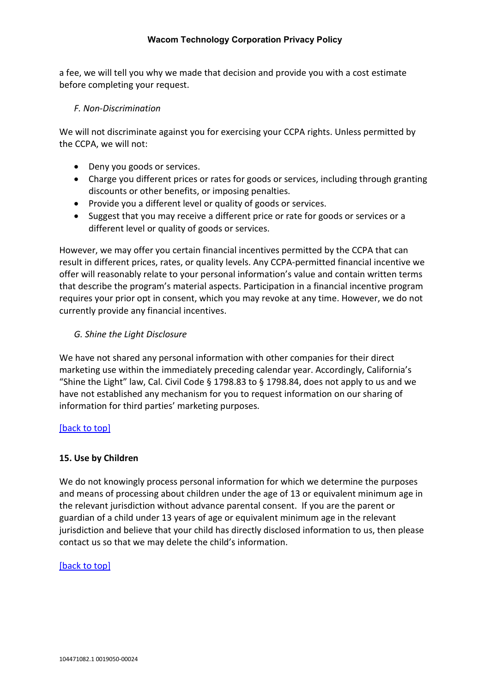a fee, we will tell you why we made that decision and provide you with a cost estimate before completing your request.

## *F. Non-Discrimination*

We will not discriminate against you for exercising your CCPA rights. Unless permitted by the CCPA, we will not:

- Deny you goods or services.
- Charge you different prices or rates for goods or services, including through granting discounts or other benefits, or imposing penalties.
- Provide you a different level or quality of goods or services.
- Suggest that you may receive a different price or rate for goods or services or a different level or quality of goods or services.

However, we may offer you certain financial incentives permitted by the CCPA that can result in different prices, rates, or quality levels. Any CCPA-permitted financial incentive we offer will reasonably relate to your personal information's value and contain written terms that describe the program's material aspects. Participation in a financial incentive program requires your prior opt in consent, which you may revoke at any time. However, we do not currently provide any financial incentives.

## *G. Shine the Light Disclosure*

We have not shared any personal information with other companies for their direct marketing use within the immediately preceding calendar year. Accordingly, California's "Shine the Light" law, Cal. Civil Code § 1798.83 to § 1798.84, does not apply to us and we have not established any mechanism for you to request information on our sharing of information for third parties' marketing purposes.

## [\[back to top\]](#page-0-2)

## <span id="page-17-0"></span>**15. Use by Children**

We do not knowingly process personal information for which we determine the purposes and means of processing about children under the age of 13 or equivalent minimum age in the relevant jurisdiction without advance parental consent. If you are the parent or guardian of a child under 13 years of age or equivalent minimum age in the relevant jurisdiction and believe that your child has directly disclosed information to us, then please contact us so that we may delete the child's information.